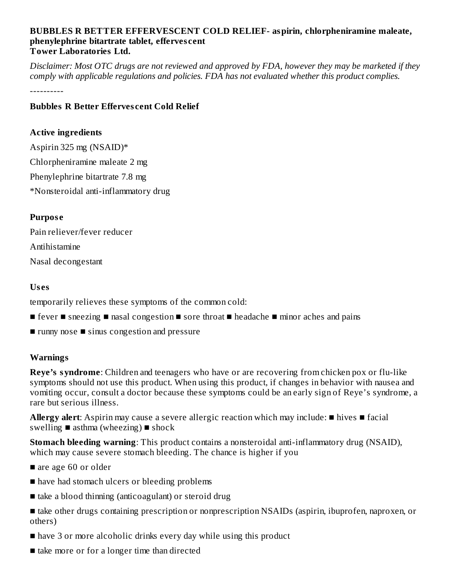#### **BUBBLES R BETTER EFFERVESCENT COLD RELIEF- aspirin, chlorpheniramine maleate, phenylephrine bitartrate tablet, efferves cent Tower Laboratories Ltd.**

Disclaimer: Most OTC drugs are not reviewed and approved by FDA, however they may be marketed if they *comply with applicable regulations and policies. FDA has not evaluated whether this product complies.*

----------

#### **Bubbles R Better Efferves cent Cold Relief**

#### **Active ingredients**

Aspirin 325 mg (NSAID)\* Chlorpheniramine maleate 2 mg Phenylephrine bitartrate 7.8 mg \*Nonsteroidal anti-inflammatory drug

#### **Purpos e**

Pain reliever/fever reducer Antihistamine Nasal decongestant

#### **Us es**

temporarily relieves these symptoms of the common cold:

- fever sneezing nasal congestion sore throat headache minor aches and pains
- runny nose sinus congestion and pressure

### **Warnings**

**Reye's syndrome**: Children and teenagers who have or are recovering from chicken pox or flu-like symptoms should not use this product. When using this product, if changes in behavior with nausea and vomiting occur, consult a doctor because these symptoms could be an early sign of Reye's syndrome, a rare but serious illness.

**Allergy alert**: Aspirin may cause a severe allergic reaction which may include: ■ hives ■ facial swelling  $\blacksquare$  asthma (wheezing)  $\blacksquare$  shock

**Stomach bleeding warning**: This product contains a nonsteroidal anti-inflammatory drug (NSAID), which may cause severe stomach bleeding. The chance is higher if you

- are age 60 or older
- have had stomach ulcers or bleeding problems
- take a blood thinning (anticoagulant) or steroid drug
- take other drugs containing prescription or nonprescription NSAIDs (aspirin, ibuprofen, naproxen, or others)
- have 3 or more alcoholic drinks every day while using this product
- take more or for a longer time than directed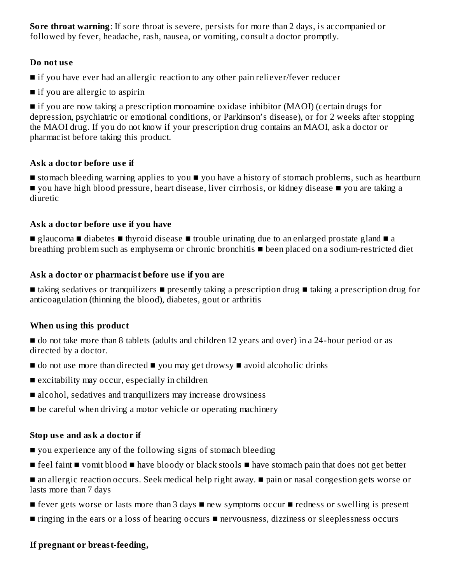**Sore throat warning**: If sore throat is severe, persists for more than 2 days, is accompanied or followed by fever, headache, rash, nausea, or vomiting, consult a doctor promptly.

#### **Do not us e**

- if you have ever had an allergic reaction to any other pain reliever/fever reducer
- if you are allergic to aspirin

■ if you are now taking a prescription monoamine oxidase inhibitor (MAOI) (certain drugs for depression, psychiatric or emotional conditions, or Parkinson's disease), or for 2 weeks after stopping the MAOI drug. If you do not know if your prescription drug contains an MAOI, ask a doctor or pharmacist before taking this product.

### **Ask a doctor before us e if**

■ stomach bleeding warning applies to you ■ you have a history of stomach problems, such as heartburn ■ you have high blood pressure, heart disease, liver cirrhosis, or kidney disease ■ you are taking a diuretic

### **Ask a doctor before us e if you have**

■ glaucoma ■ diabetes ■ thyroid disease ■ trouble urinating due to an enlarged prostate gland ■ a breathing problem such as emphysema or chronic bronchitis ■ been placed on a sodium-restricted diet

### **Ask a doctor or pharmacist before us e if you are**

■ taking sedatives or tranquilizers ■ presently taking a prescription drug ■ taking a prescription drug for anticoagulation (thinning the blood), diabetes, gout or arthritis

### **When using this product**

■ do not take more than 8 tablets (adults and children 12 years and over) in a 24-hour period or as directed by a doctor.

- $\blacksquare$  do not use more than directed  $\blacksquare$  you may get drowsy  $\blacksquare$  avoid alcoholic drinks
- excitability may occur, especially in children
- alcohol, sedatives and tranquilizers may increase drowsiness
- be careful when driving a motor vehicle or operating machinery

### **Stop us e and ask a doctor if**

- you experience any of the following signs of stomach bleeding
- feel faint vomit blood have bloody or black stools have stomach pain that does not get better

■ an allergic reaction occurs. Seek medical help right away. ■ pain or nasal congestion gets worse or lasts more than 7 days

- fever gets worse or lasts more than 3 days new symptoms occur redness or swelling is present
- ringing in the ears or a loss of hearing occurs nervousness, dizziness or sleeplessness occurs

### **If pregnant or breast-feeding,**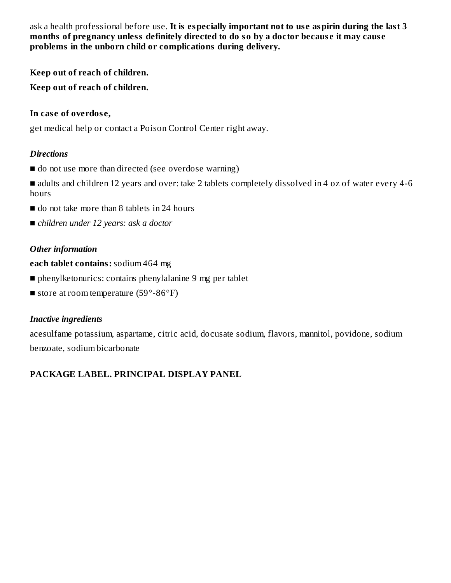ask a health professional before use. **It is especially important not to us e aspirin during the last 3 months of pregnancy unless definitely directed to do so by a doctor becaus e it may caus e problems in the unborn child or complications during delivery.**

**Keep out of reach of children.**

**Keep out of reach of children.**

#### **In cas e of overdos e,**

get medical help or contact a Poison Control Center right away.

#### *Directions*

■ do not use more than directed (see overdose warning)

■ adults and children 12 years and over: take 2 tablets completely dissolved in 4 oz of water every 4-6 hours

- do not take more than 8 tablets in 24 hours
- *children under* 12 *years: ask a doctor*

### *Other information*

**each tablet contains:**sodium 464 mg

- phenylketonurics: contains phenylalanine 9 mg per tablet
- store at room temperature  $(59^{\circ} 86^{\circ}F)$

### *Inactive ingredients*

acesulfame potassium, aspartame, citric acid, docusate sodium, flavors, mannitol, povidone, sodium benzoate, sodium bicarbonate

## **PACKAGE LABEL. PRINCIPAL DISPLAY PANEL**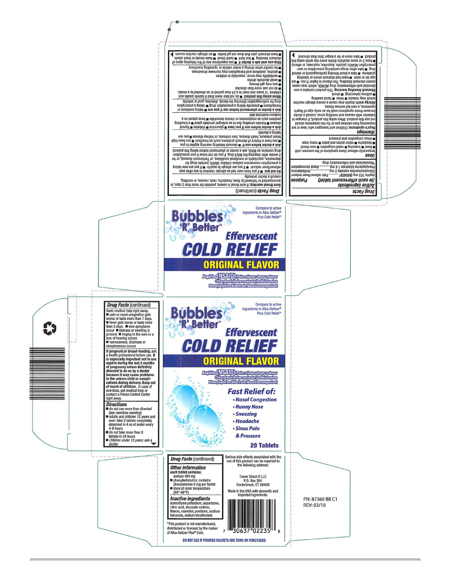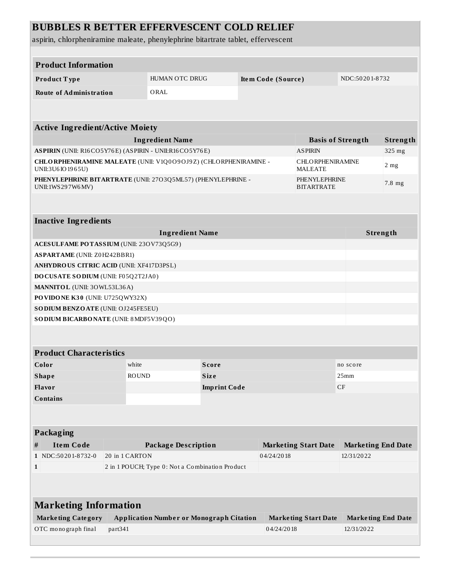# **BUBBLES R BETTER EFFERVESCENT COLD RELIEF**

aspirin, chlorpheniramine maleate, phenylephrine bitartrate tablet, effervescent

| <b>Product Information</b>                                                            |                     |                                                 |  |            |                                                       |                           |                           |  |
|---------------------------------------------------------------------------------------|---------------------|-------------------------------------------------|--|------------|-------------------------------------------------------|---------------------------|---------------------------|--|
| Product Type                                                                          |                     | HUMAN OTC DRUG<br>Item Code (Source)            |  |            | NDC:50201-8732                                        |                           |                           |  |
| <b>Route of Administration</b>                                                        |                     | ORAL                                            |  |            |                                                       |                           |                           |  |
|                                                                                       |                     |                                                 |  |            |                                                       |                           |                           |  |
|                                                                                       |                     |                                                 |  |            |                                                       |                           |                           |  |
| <b>Active Ingredient/Active Moiety</b>                                                |                     |                                                 |  |            |                                                       |                           |                           |  |
| <b>Ingredient Name</b>                                                                |                     |                                                 |  |            | <b>Basis of Strength</b>                              |                           | Strength                  |  |
| ASPIRIN (UNII: R16CO5Y76E) (ASPIRIN - UNII:R16CO5Y76E)                                |                     |                                                 |  |            | <b>ASPIRIN</b>                                        |                           | 325 mg                    |  |
| CHLORPHENIRAMINE MALEATE (UNII: V1Q0O9OJ9Z) (CHLORPHENIRAMINE -<br>UNII:3U6 IO 1965U) |                     |                                                 |  |            | <b>CHLORPHENIRAMINE</b><br>2 <sub>mg</sub><br>MALEATE |                           |                           |  |
| PHENYLEPHRINE BITARTRATE (UNII: 27O3Q5ML57) (PHENYLEPHRINE -<br>UNII:1WS297W6MV)      |                     |                                                 |  |            | PHENYLEPHRINE<br>7.8 mg<br><b>BITARTRATE</b>          |                           |                           |  |
|                                                                                       |                     |                                                 |  |            |                                                       |                           |                           |  |
| <b>Inactive Ingredients</b>                                                           |                     |                                                 |  |            |                                                       |                           |                           |  |
| <b>Ingredient Name</b>                                                                |                     |                                                 |  |            |                                                       | Strength                  |                           |  |
| ACESULFAME POTASSIUM (UNII: 23OV73Q5G9)                                               |                     |                                                 |  |            |                                                       |                           |                           |  |
| <b>ASPARTAME</b> (UNII: Z0H242BBR1)                                                   |                     |                                                 |  |            |                                                       |                           |                           |  |
| <b>ANHYDROUS CITRIC ACID (UNII: XF417D3PSL)</b>                                       |                     |                                                 |  |            |                                                       |                           |                           |  |
| DOCUSATE SODIUM (UNII: F05Q2T2JA0)                                                    |                     |                                                 |  |            |                                                       |                           |                           |  |
| <b>MANNITOL</b> (UNII: 30WL53L36A)                                                    |                     |                                                 |  |            |                                                       |                           |                           |  |
| PO VIDO NE K30 (UNII: U725QWY32X)                                                     |                     |                                                 |  |            |                                                       |                           |                           |  |
| SODIUM BENZOATE (UNII: OJ245FE5EU)                                                    |                     |                                                 |  |            |                                                       |                           |                           |  |
| SO DIUM BICARBONATE (UNII: 8 MDF5V39QO)                                               |                     |                                                 |  |            |                                                       |                           |                           |  |
|                                                                                       |                     |                                                 |  |            |                                                       |                           |                           |  |
| <b>Product Characteristics</b>                                                        |                     |                                                 |  |            |                                                       |                           |                           |  |
| Color<br>white                                                                        |                     | <b>Score</b>                                    |  |            |                                                       | no score                  |                           |  |
| <b>ROUND</b><br><b>Shape</b>                                                          |                     | Size                                            |  |            |                                                       | 25mm                      |                           |  |
| Flavor                                                                                | <b>Imprint Code</b> |                                                 |  |            |                                                       | CF                        |                           |  |
| <b>Contains</b>                                                                       |                     |                                                 |  |            |                                                       |                           |                           |  |
|                                                                                       |                     |                                                 |  |            |                                                       |                           |                           |  |
|                                                                                       |                     |                                                 |  |            |                                                       |                           |                           |  |
| <b>Packaging</b>                                                                      |                     |                                                 |  |            |                                                       |                           |                           |  |
| <b>Item Code</b><br>#                                                                 |                     | <b>Package Description</b>                      |  |            | <b>Marketing Start Date</b>                           |                           | <b>Marketing End Date</b> |  |
| 1 NDC:50201-8732-0                                                                    | 20 in 1 CARTON      |                                                 |  | 04/24/2018 |                                                       | 12/31/2022                |                           |  |
| 2 in 1 POUCH; Type 0: Not a Combination Product<br>$\mathbf{1}$                       |                     |                                                 |  |            |                                                       |                           |                           |  |
|                                                                                       |                     |                                                 |  |            |                                                       |                           |                           |  |
|                                                                                       |                     |                                                 |  |            |                                                       |                           |                           |  |
| <b>Marketing Information</b>                                                          |                     |                                                 |  |            |                                                       |                           |                           |  |
| <b>Marketing Category</b>                                                             |                     | <b>Application Number or Monograph Citation</b> |  |            | <b>Marketing Start Date</b>                           | <b>Marketing End Date</b> |                           |  |
| OTC monograph final<br>part341                                                        |                     |                                                 |  | 04/24/2018 |                                                       | 12/31/2022                |                           |  |
|                                                                                       |                     |                                                 |  |            |                                                       |                           |                           |  |